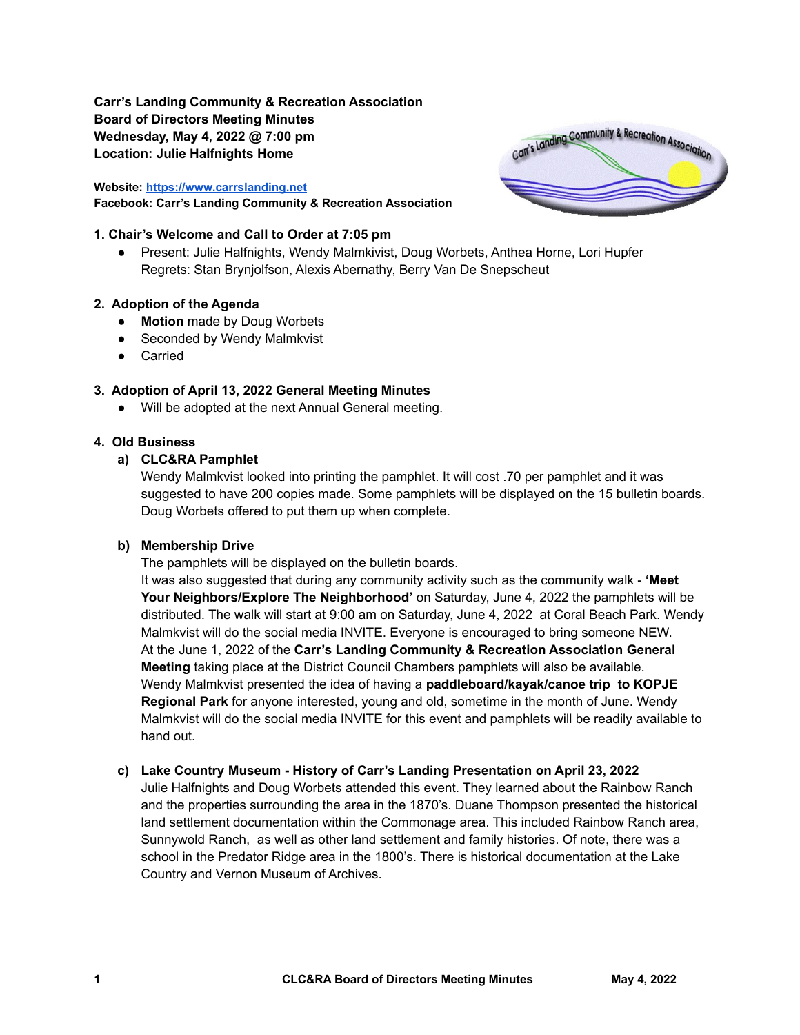**Carr's Landing Community & Recreation Association Board of Directors Meeting Minutes Wednesday, May 4, 2022 @ 7:00 pm Location: Julie Halfnights Home**

#### **Website: <https://www.carrslanding.net> Facebook: Carr's Landing Community & Recreation Association**

#### **1. Chair's Welcome and Call to Order at 7:05 pm**

● Present: Julie Halfnights, Wendy Malmkivist, Doug Worbets, Anthea Horne, Lori Hupfer Regrets: Stan Brynjolfson, Alexis Abernathy, Berry Van De Snepscheut

#### **2. Adoption of the Agenda**

- **● Motion** made by Doug Worbets
- Seconded by Wendy Malmkvist
- Carried

### **3. Adoption of April 13, 2022 General Meeting Minutes**

● Will be adopted at the next Annual General meeting.

#### **4. Old Business**

### **a) CLC&RA Pamphlet**

Wendy Malmkvist looked into printing the pamphlet. It will cost .70 per pamphlet and it was suggested to have 200 copies made. Some pamphlets will be displayed on the 15 bulletin boards. Doug Worbets offered to put them up when complete.

#### **b) Membership Drive**

The pamphlets will be displayed on the bulletin boards.

It was also suggested that during any community activity such as the community walk - **'Meet Your Neighbors/Explore The Neighborhood'** on Saturday, June 4, 2022 the pamphlets will be distributed. The walk will start at 9:00 am on Saturday, June 4, 2022 at Coral Beach Park. Wendy Malmkvist will do the social media INVITE. Everyone is encouraged to bring someone NEW. At the June 1, 2022 of the **Carr's Landing Community & Recreation Association General Meeting** taking place at the District Council Chambers pamphlets will also be available. Wendy Malmkvist presented the idea of having a **paddleboard/kayak/canoe trip to KOPJE Regional Park** for anyone interested, young and old, sometime in the month of June. Wendy Malmkvist will do the social media INVITE for this event and pamphlets will be readily available to hand out.

### **c) Lake Country Museum - History of Carr's Landing Presentation on April 23, 2022**

Julie Halfnights and Doug Worbets attended this event. They learned about the Rainbow Ranch and the properties surrounding the area in the 1870's. Duane Thompson presented the historical land settlement documentation within the Commonage area. This included Rainbow Ranch area, Sunnywold Ranch, as well as other land settlement and family histories. Of note, there was a school in the Predator Ridge area in the 1800's. There is historical documentation at the Lake Country and Vernon Museum of Archives.

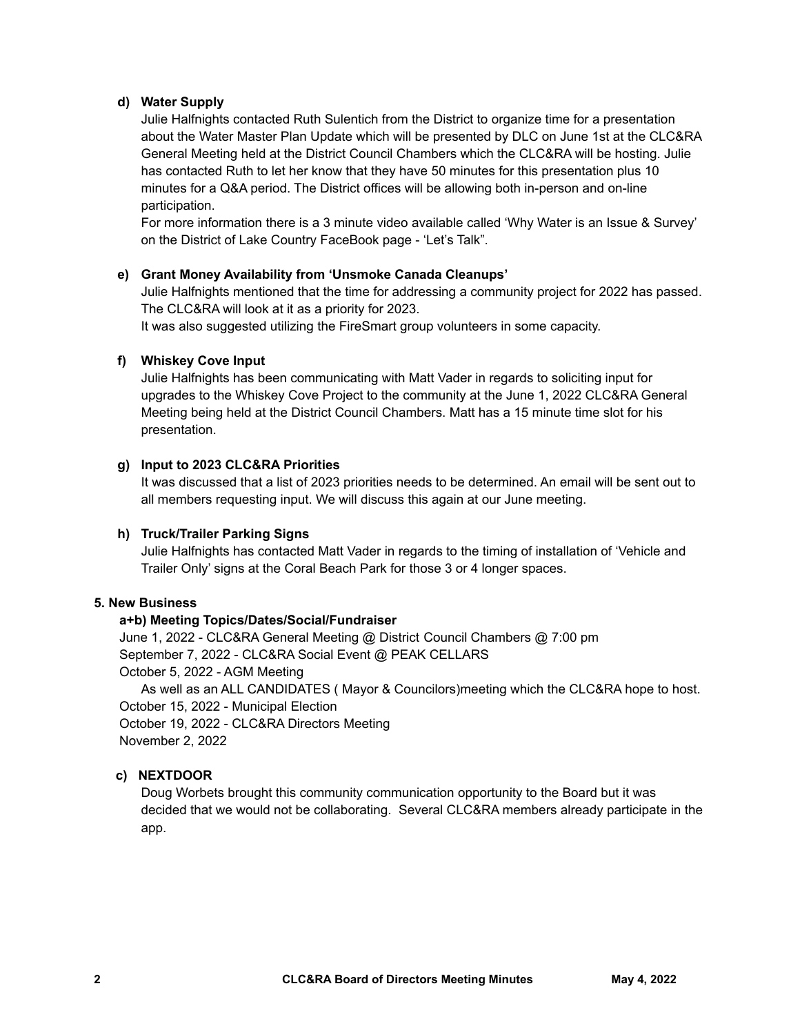### **d) Water Supply**

Julie Halfnights contacted Ruth Sulentich from the District to organize time for a presentation about the Water Master Plan Update which will be presented by DLC on June 1st at the CLC&RA General Meeting held at the District Council Chambers which the CLC&RA will be hosting. Julie has contacted Ruth to let her know that they have 50 minutes for this presentation plus 10 minutes for a Q&A period. The District offices will be allowing both in-person and on-line participation.

For more information there is a 3 minute video available called 'Why Water is an Issue & Survey' on the District of Lake Country FaceBook page - 'Let's Talk".

### **e) Grant Money Availability from 'Unsmoke Canada Cleanups'**

Julie Halfnights mentioned that the time for addressing a community project for 2022 has passed. The CLC&RA will look at it as a priority for 2023.

It was also suggested utilizing the FireSmart group volunteers in some capacity.

### **f) Whiskey Cove Input**

Julie Halfnights has been communicating with Matt Vader in regards to soliciting input for upgrades to the Whiskey Cove Project to the community at the June 1, 2022 CLC&RA General Meeting being held at the District Council Chambers. Matt has a 15 minute time slot for his presentation.

### **g) Input to 2023 CLC&RA Priorities**

It was discussed that a list of 2023 priorities needs to be determined. An email will be sent out to all members requesting input. We will discuss this again at our June meeting.

### **h) Truck/Trailer Parking Signs**

Julie Halfnights has contacted Matt Vader in regards to the timing of installation of 'Vehicle and Trailer Only' signs at the Coral Beach Park for those 3 or 4 longer spaces.

## **5. New Business**

### **a+b) Meeting Topics/Dates/Social/Fundraiser**

June 1, 2022 - CLC&RA General Meeting @ District Council Chambers @ 7:00 pm September 7, 2022 - CLC&RA Social Event @ PEAK CELLARS October 5, 2022 - AGM Meeting As well as an ALL CANDIDATES ( Mayor & Councilors)meeting which the CLC&RA hope to host.

October 15, 2022 - Municipal Election

October 19, 2022 - CLC&RA Directors Meeting

November 2, 2022

## **c) NEXTDOOR**

Doug Worbets brought this community communication opportunity to the Board but it was decided that we would not be collaborating. Several CLC&RA members already participate in the app.